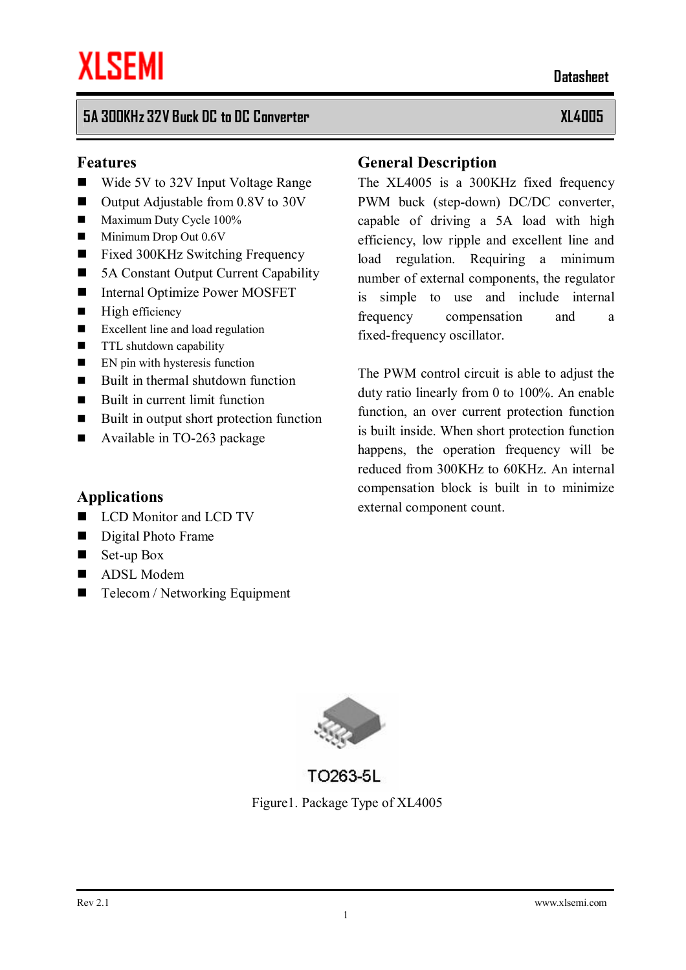#### **5A 300KHz 32V Buck DC to DC Converter XL4005**

#### **Features**

- $\blacksquare$  Wide 5V to 32V Input Voltage Range
- $\blacksquare$  Output Adjustable from 0.8V to 30V
- $\blacksquare$  Maximum Duty Cycle 100%
- $\blacksquare$  Minimum Drop Out 0.6V
- Fixed 300KHz Switching Frequency
- 5A Constant Output Current Capability
- Internal Optimize Power MOSFET
- $\blacksquare$  High efficiency
- $\blacksquare$  Excellent line and load regulation
- **n** TTL shutdown capability
- $\blacksquare$  EN pin with hysteresis function
- $\blacksquare$  Built in thermal shutdown function
- $\blacksquare$  Built in current limit function
- Built in output short protection function
- Available in TO-263 package

#### **Applications**

- LCD Monitor and LCD TV
- Digital Photo Frame
- $\blacksquare$  Set-up Box
- ADSL Modem
- $\blacksquare$  Telecom / Networking Equipment

#### **General Description**

The XL4005 is a 300KHz fixed frequency PWM buck (step-down) DC/DC converter, capable of driving a 5A load with high efficiency, low ripple and excellent line and load regulation. Requiring a minimum number of external components, the regulator is simple to use and include internal frequency compensation and a fixed-frequency oscillator.

The PWM control circuit is able to adjust the duty ratio linearly from 0 to 100%. An enable function, an over current protection function is built inside. When short protection function happens, the operation frequency will be reduced from 300KHz to 60KHz. An internal compensation block is built in to minimize external component count.



TO263-5L Figure1. Package Type of XL4005  **Datasheet**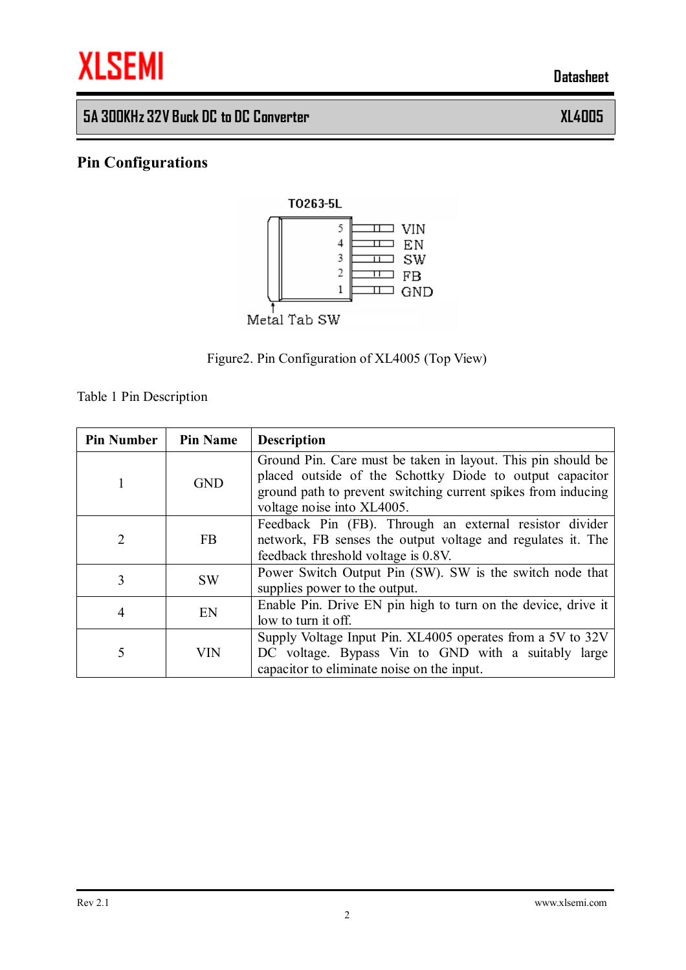

# **5A 300KHz 32V Buck DC to DC Converter XL4005**

# **Pin Configurations**





Table 1 Pin Description

| <b>Pin Number</b> | <b>Pin Name</b> | <b>Description</b>                                                                                                                                                                                                      |
|-------------------|-----------------|-------------------------------------------------------------------------------------------------------------------------------------------------------------------------------------------------------------------------|
|                   | <b>GND</b>      | Ground Pin. Care must be taken in layout. This pin should be<br>placed outside of the Schottky Diode to output capacitor<br>ground path to prevent switching current spikes from inducing<br>voltage noise into XL4005. |
| 2                 | <b>FB</b>       | Feedback Pin (FB). Through an external resistor divider<br>network, FB senses the output voltage and regulates it. The<br>feedback threshold voltage is 0.8V.                                                           |
| 3                 | <b>SW</b>       | Power Switch Output Pin (SW). SW is the switch node that<br>supplies power to the output.                                                                                                                               |
| 4                 | EN              | Enable Pin. Drive EN pin high to turn on the device, drive it<br>low to turn it off.                                                                                                                                    |
| 5                 | VIN             | Supply Voltage Input Pin. XL4005 operates from a 5V to 32V<br>DC voltage. Bypass Vin to GND with a suitably large<br>capacitor to eliminate noise on the input.                                                         |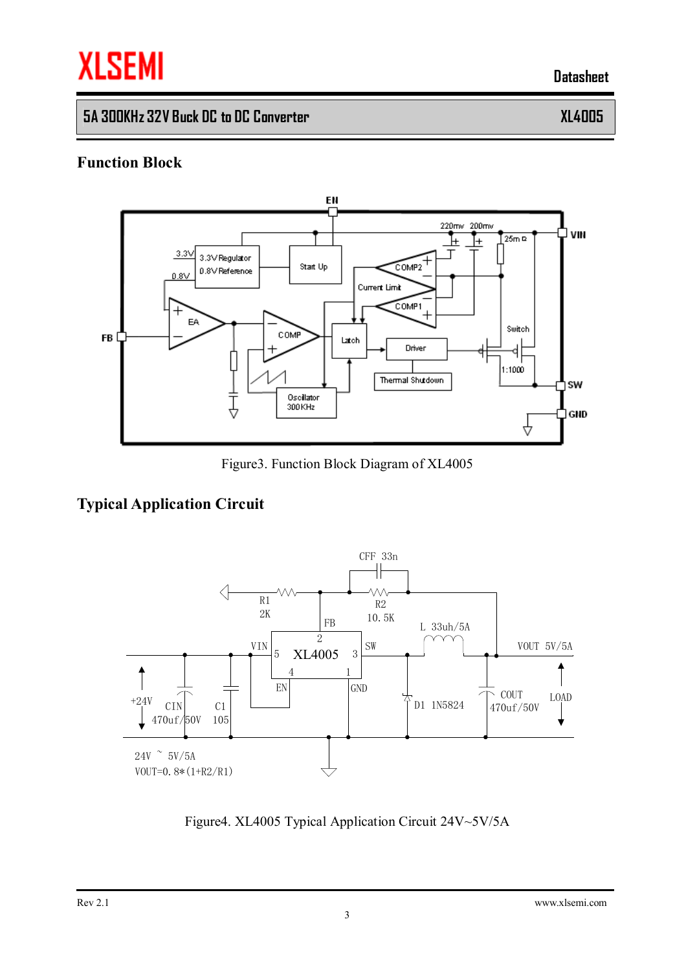# **XLSEMI**

**5A 300KHz 32V Buck DC to DC Converter XL4005** 

 **Datasheet**

#### **Function Block**



Figure3. Function Block Diagram of XL4005

## **Typical Application Circuit**



Figure4. XL4005 Typical Application Circuit 24V~5V/5A

Rev 2.1 [www.xlsemi.com](http://www.xlsemi.com)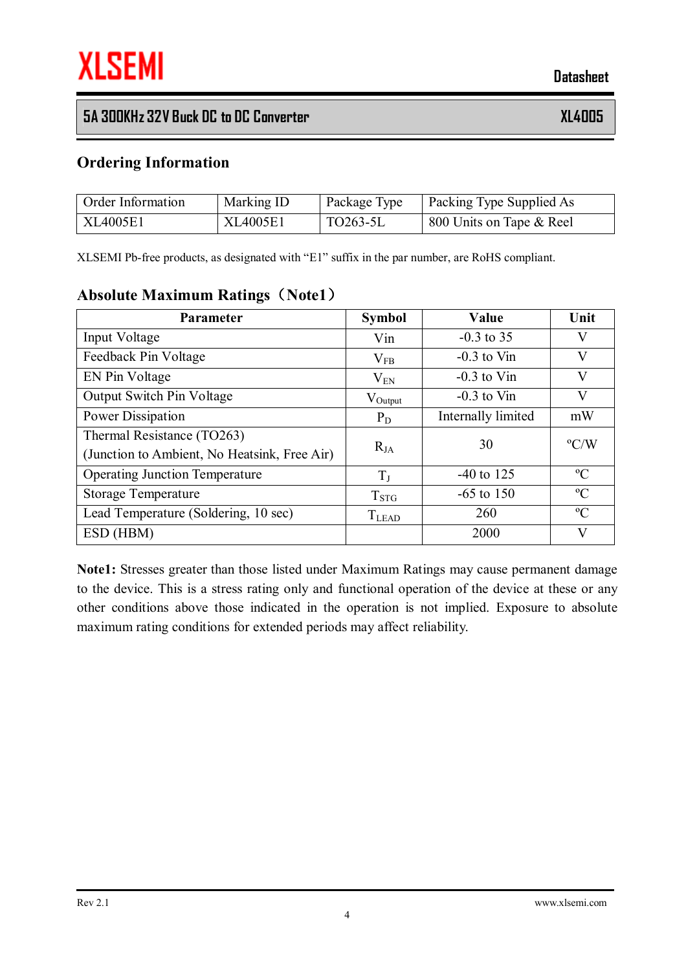### **5A 300KHz 32V Buck DC to DC Converter XL4005**

#### **Ordering Information**

| <b>Order Information</b> | Marking ID | Package Type            | <b>Packing Type Supplied As</b> |
|--------------------------|------------|-------------------------|---------------------------------|
| XL4005E1                 | XL4005E1   | $\overline{1}$ TO263-5L | 800 Units on Tape & Reel        |

XLSEMI Pb-free products, as designated with "E1" suffix in the par number, are RoHS compliant.

#### **Absolute Maximum Ratings(Note1)**

| <b>Parameter</b>                             | <b>Symbol</b>       | Value              | Unit          |
|----------------------------------------------|---------------------|--------------------|---------------|
| Input Voltage                                | Vin                 | $-0.3$ to 35       | V             |
| Feedback Pin Voltage                         | $\rm V_{FB}$        | $-0.3$ to Vin      | V             |
| EN Pin Voltage                               | $\rm V_{EN}$        | $-0.3$ to Vin      | $\rm V$       |
| <b>Output Switch Pin Voltage</b>             | $V_{\text{Output}}$ | $-0.3$ to Vin      | $\rm V$       |
| Power Dissipation                            | $P_D$               | Internally limited | mW            |
| Thermal Resistance (TO263)                   |                     | 30                 | $\rm ^{o}C/W$ |
| (Junction to Ambient, No Heatsink, Free Air) | $R_{JA}$            |                    |               |
| <b>Operating Junction Temperature</b>        | $T_{\rm J}$         | $-40$ to 125       | $\rm ^{o}C$   |
| <b>Storage Temperature</b>                   | $T_{STG}$           | $-65$ to 150       | $\rm ^{o}C$   |
| Lead Temperature (Soldering, 10 sec)         | $T_{LEAD}$          | 260                | $\rm ^{o}C$   |
| ESD (HBM)                                    |                     | 2000               | $\bf V$       |

**Note1:** Stresses greater than those listed under Maximum Ratings may cause permanent damage to the device. This is a stress rating only and functional operation of the device at these or any other conditions above those indicated in the operation is not implied. Exposure to absolute maximum rating conditions for extended periods may affect reliability.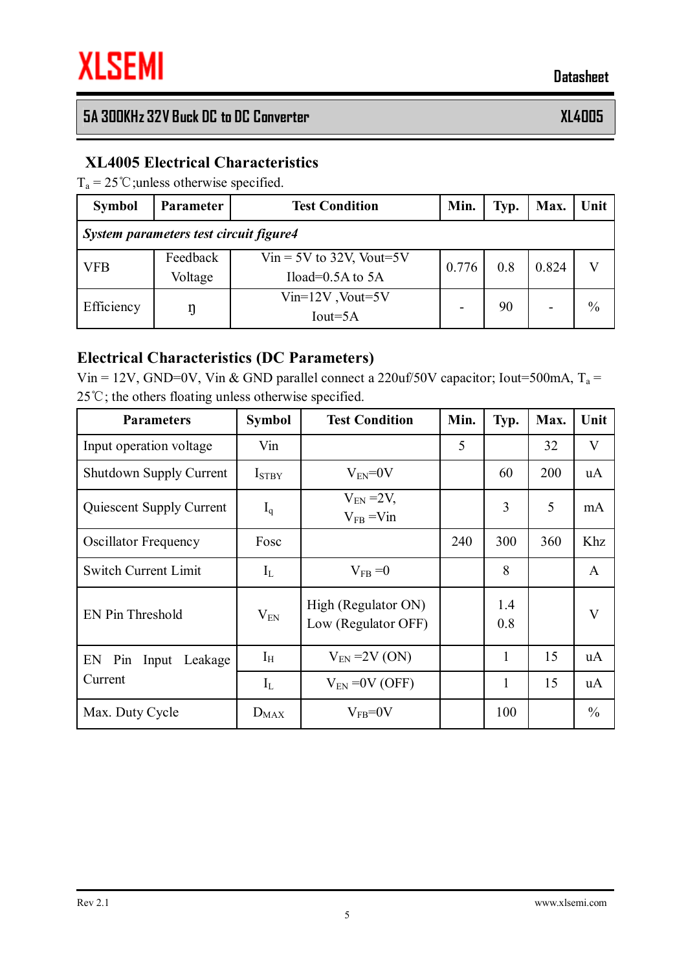# **5A 300KHz 32V Buck DC to DC Converter XL4005**

#### **XL4005 Electrical Characteristics**

 $T_a = 25 \degree$ C; unless otherwise specified.

| <b>Symbol</b>                          | Parameter           | <b>Test Condition</b>                                | Min.  | Typ. | Max.  | Unit |  |  |
|----------------------------------------|---------------------|------------------------------------------------------|-------|------|-------|------|--|--|
| System parameters test circuit figure4 |                     |                                                      |       |      |       |      |  |  |
| <b>VFB</b>                             | Feedback<br>Voltage | $V$ in = 5V to 32V, Vout=5V<br>Iload= $0.5A$ to $5A$ | 0.776 | 0.8  | 0.824 |      |  |  |
| Efficiency                             |                     | $Vin=12V$ , Vout=5V<br>$Iout=5A$                     |       | 90   |       | $\%$ |  |  |

#### **Electrical Characteristics (DC Parameters)**

Vin = 12V, GND=0V, Vin & GND parallel connect a 220uf/50V capacitor; Iout=500mA,  $T_a$  = 25℃; the others floating unless otherwise specified.

| <b>Parameters</b>              | <b>Symbol</b>     | <b>Test Condition</b>                      | Min. | Typ.         | Max. | Unit          |
|--------------------------------|-------------------|--------------------------------------------|------|--------------|------|---------------|
| Input operation voltage        | Vin               |                                            | 5    |              | 32   | V             |
| <b>Shutdown Supply Current</b> | I <sub>STBY</sub> | $V_{EN} = 0V$                              |      | 60           | 200  | uA            |
| Quiescent Supply Current       | $I_q$             | $V_{EN}$ = 2V,<br>$V_{FB} = V_{1n}$        |      | 3            | 5    | mA            |
| <b>Oscillator Frequency</b>    | Fosc              |                                            | 240  | 300          | 360  | Khz           |
| <b>Switch Current Limit</b>    | $I_{L}$           | $V_{FB} = 0$                               |      | 8            |      | A             |
| <b>EN Pin Threshold</b>        | $V_{EN}$          | High (Regulator ON)<br>Low (Regulator OFF) |      | 1.4<br>0.8   |      | V             |
| EN Pin Input<br>Leakage        | $I_{H}$           | $V_{EN}$ =2V (ON)                          |      | 1            | 15   | <b>uA</b>     |
| Current                        | $I_L$             | $V_{FN} = 0V$ (OFF)                        |      | $\mathbf{1}$ | 15   | uA            |
| Max. Duty Cycle                | $D_{MAX}$         | $V_{FB} = 0V$                              |      | 100          |      | $\frac{0}{0}$ |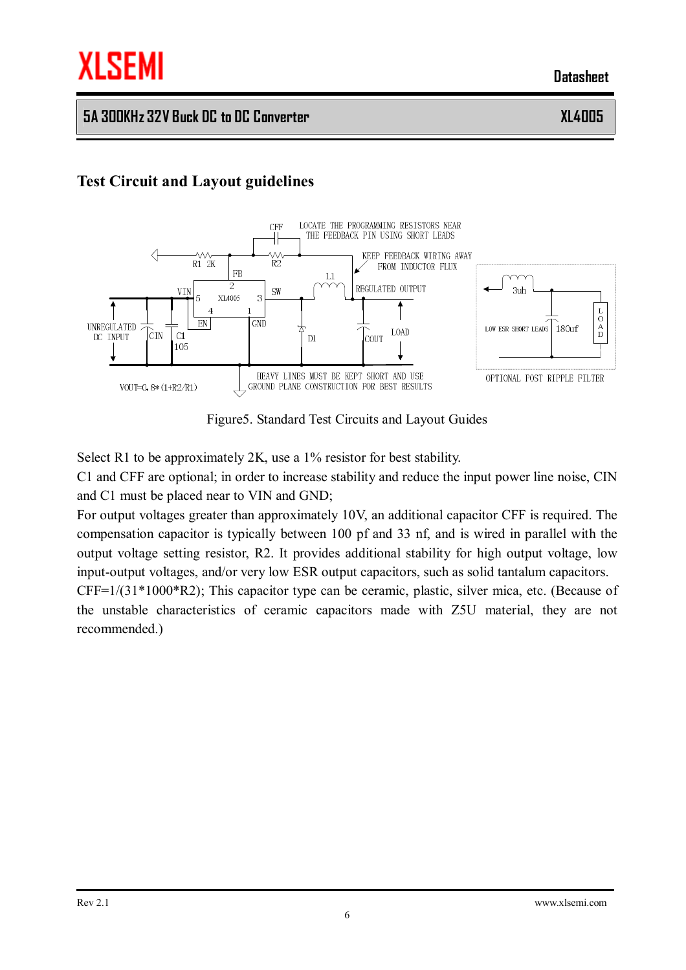#### **5A 300KHz 32V Buck DC to DC Converter XL4005**

### **Test Circuit and Layout guidelines**



Figure5. Standard Test Circuits and Layout Guides

Select R1 to be approximately 2K, use a 1% resistor for best stability.

C1 and CFF are optional; in order to increase stability and reduce the input power line noise, CIN and C1 must be placed near to VIN and GND;

For output voltages greater than approximately 10V, an additional capacitor CFF is required. The compensation capacitor is typically between 100 pf and 33 nf, and is wired in parallel with the output voltage setting resistor, R2. It provides additional stability for high output voltage, low input-output voltages, and/or very low ESR output capacitors, such as solid tantalum capacitors.

CFF=1/(31\*1000\*R2); This capacitor type can be ceramic, plastic, silver mica, etc. (Because of the unstable characteristics of ceramic capacitors made with Z5U material, they are not recommended.)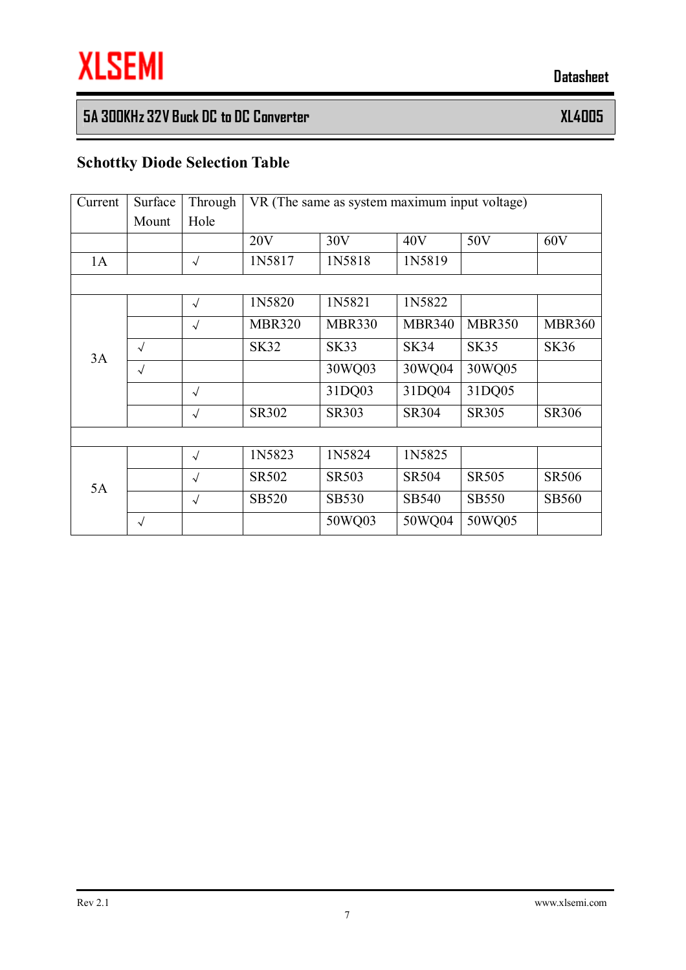# **5A 300KHz 32V Buck DC to DC Converter XL4005**

# **Schottky Diode Selection Table**

| Current | Surface    | Through    | VR (The same as system maximum input voltage) |               |               |               |               |
|---------|------------|------------|-----------------------------------------------|---------------|---------------|---------------|---------------|
|         | Mount      | Hole       |                                               |               |               |               |               |
|         |            |            | 20V                                           | 30V           | 40V           | 50V           | 60V           |
| 1A      |            | $\sqrt{ }$ | 1N5817                                        | 1N5818        | 1N5819        |               |               |
|         |            |            |                                               |               |               |               |               |
|         |            | $\sqrt{ }$ | 1N5820                                        | 1N5821        | 1N5822        |               |               |
| 3A      |            | $\sqrt{ }$ | <b>MBR320</b>                                 | <b>MBR330</b> | <b>MBR340</b> | <b>MBR350</b> | <b>MBR360</b> |
|         | $\sqrt{ }$ |            | <b>SK32</b>                                   | <b>SK33</b>   | <b>SK34</b>   | <b>SK35</b>   | <b>SK36</b>   |
|         | $\sqrt{ }$ |            |                                               | 30WQ03        | 30WQ04        | 30WQ05        |               |
|         |            | $\sqrt{ }$ |                                               | 31DQ03        | 31DQ04        | 31DQ05        |               |
|         |            | $\sqrt{ }$ | SR302                                         | <b>SR303</b>  | <b>SR304</b>  | SR305         | <b>SR306</b>  |
|         |            |            |                                               |               |               |               |               |
| 5A      |            | $\sqrt{ }$ | 1N5823                                        | 1N5824        | 1N5825        |               |               |
|         |            | $\sqrt{ }$ | SR502                                         | <b>SR503</b>  | <b>SR504</b>  | <b>SR505</b>  | <b>SR506</b>  |
|         |            | $\sqrt{ }$ | <b>SB520</b>                                  | <b>SB530</b>  | SB540         | <b>SB550</b>  | <b>SB560</b>  |
|         | $\sqrt{ }$ |            |                                               | 50WQ03        | 50WQ04        | 50WQ05        |               |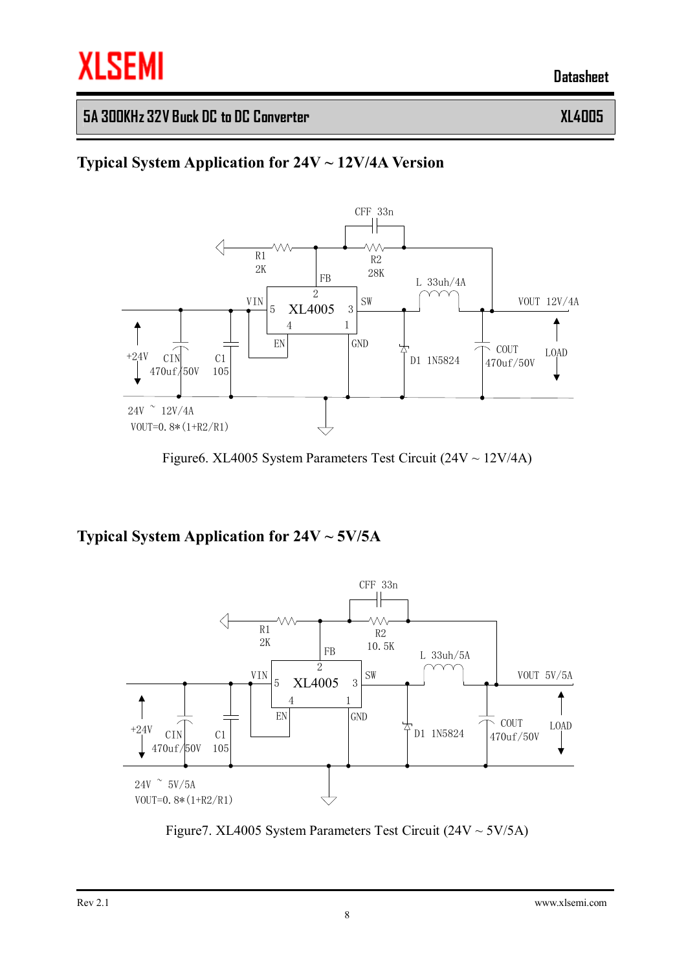### **5A 300KHz 32V Buck DC to DC Converter XL4005**

# **Typical System Application for 24V ~ 12V/4A Version**



Figure6. XL4005 System Parameters Test Circuit (24V ~ 12V/4A)

**Typical System Application for 24V ~ 5V/5A** 



Figure 7. XL4005 System Parameters Test Circuit  $(24V \sim 5V/5A)$